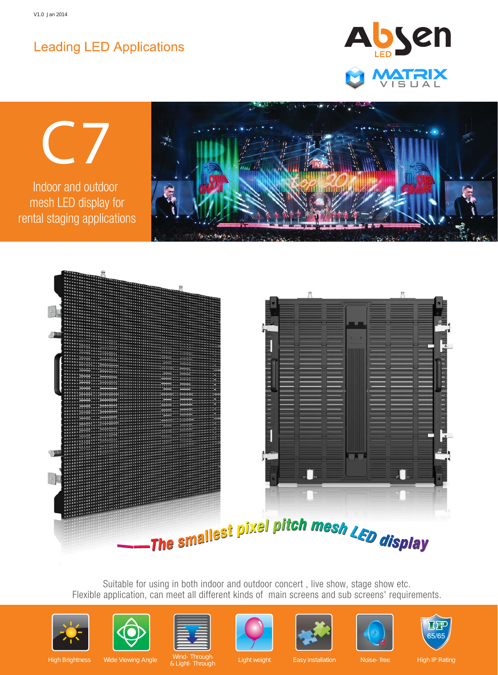# **Leading LED Applications**









Suitable for using in both indoor and outdoor concert , live show, stage show etc. Flexible application, can meet all different kinds of main screens and sub screens' requirements.















High Brightness Wide Viewing Angle Wind-Through Light weight Easy installation Noise-free High IP Rating Wind-Through<br>& Light-Through